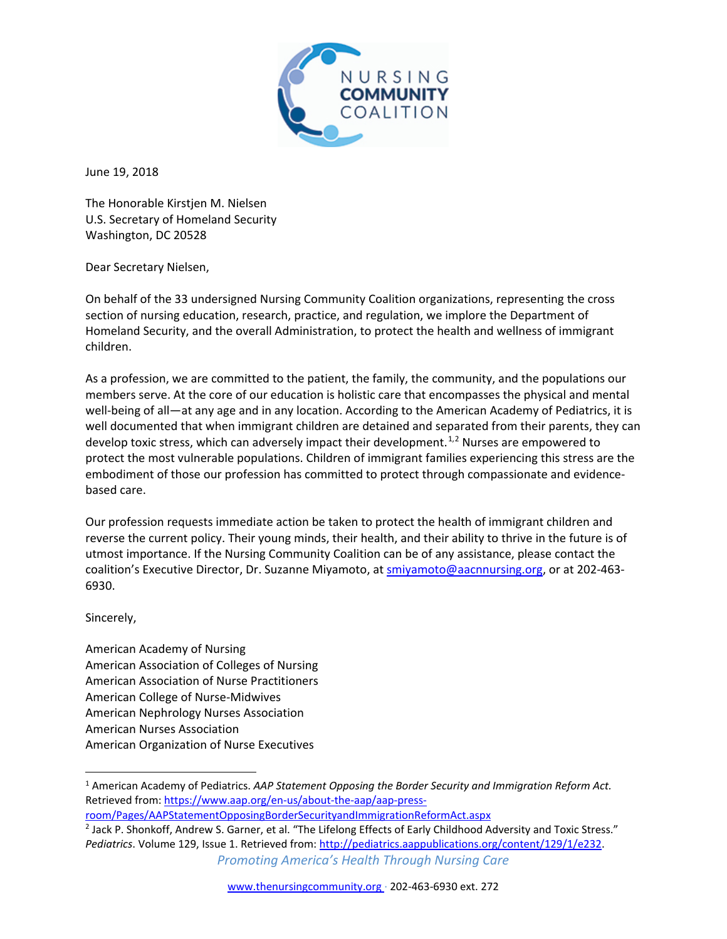

June 19, 2018

The Honorable Kirstjen M. Nielsen U.S. Secretary of Homeland Security Washington, DC 20528

Dear Secretary Nielsen,

On behalf of the 33 undersigned Nursing Community Coalition organizations, representing the cross section of nursing education, research, practice, and regulation, we implore the Department of Homeland Security, and the overall Administration, to protect the health and wellness of immigrant children.

As a profession, we are committed to the patient, the family, the community, and the populations our members serve. At the core of our education is holistic care that encompasses the physical and mental well-being of all—at any age and in any location. According to the American Academy of Pediatrics, it is well documented that when immigrant children are detained and separated from their parents, they can develop toxic stress, which can adversely impact their development.<sup>[1](#page-0-0),[2](#page-0-1)</sup> Nurses are empowered to protect the most vulnerable populations. Children of immigrant families experiencing this stress are the embodiment of those our profession has committed to protect through compassionate and evidencebased care.

Our profession requests immediate action be taken to protect the health of immigrant children and reverse the current policy. Their young minds, their health, and their ability to thrive in the future is of utmost importance. If the Nursing Community Coalition can be of any assistance, please contact the coalition's Executive Director, Dr. Suzanne Miyamoto, at [smiyamoto@aacnnursing.org,](mailto:smiyamoto@aacnnursing.org) or at 202-463- 6930.

Sincerely,

American Academy of Nursing American Association of Colleges of Nursing American Association of Nurse Practitioners American College of Nurse-Midwives American Nephrology Nurses Association American Nurses Association American Organization of Nurse Executives

<span id="page-0-1"></span>*Promoting America's Health Through Nursing Care* <sup>2</sup> Jack P. Shonkoff, Andrew S. Garner, et al. "The Lifelong Effects of Early Childhood Adversity and Toxic Stress." *Pediatrics*. Volume 129, Issue 1. Retrieved from: [http://pediatrics.aappublications.org/content/129/1/e232.](http://pediatrics.aappublications.org/content/129/1/e232)

<span id="page-0-0"></span> <sup>1</sup> American Academy of Pediatrics. *AAP Statement Opposing the Border Security and Immigration Reform Act.*  Retrieved from[: https://www.aap.org/en-us/about-the-aap/aap-press-](https://www.aap.org/en-us/about-the-aap/aap-press-room/Pages/AAPStatementOpposingBorderSecurityandImmigrationReformAct.aspx)

[room/Pages/AAPStatementOpposingBorderSecurityandImmigrationReformAct.aspx](https://www.aap.org/en-us/about-the-aap/aap-press-room/Pages/AAPStatementOpposingBorderSecurityandImmigrationReformAct.aspx)